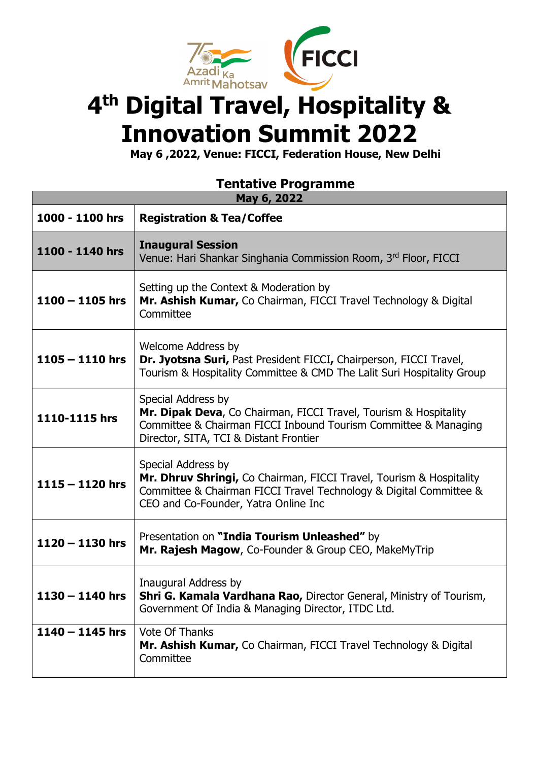

## **4th Digital Travel, Hospitality & Innovation Summit 2022**

**May 6 ,2022, Venue: FICCI, Federation House, New Delhi**

## **Tentative Programme**

| May 6, 2022       |                                                                                                                                                                                                         |
|-------------------|---------------------------------------------------------------------------------------------------------------------------------------------------------------------------------------------------------|
| 1000 - 1100 hrs   | <b>Registration &amp; Tea/Coffee</b>                                                                                                                                                                    |
| 1100 - 1140 hrs   | <b>Inaugural Session</b><br>Venue: Hari Shankar Singhania Commission Room, 3rd Floor, FICCI                                                                                                             |
| $1100 - 1105$ hrs | Setting up the Context & Moderation by<br>Mr. Ashish Kumar, Co Chairman, FICCI Travel Technology & Digital<br>Committee                                                                                 |
| $1105 - 1110$ hrs | <b>Welcome Address by</b><br>Dr. Jyotsna Suri, Past President FICCI, Chairperson, FICCI Travel,<br>Tourism & Hospitality Committee & CMD The Lalit Suri Hospitality Group                               |
| 1110-1115 hrs     | Special Address by<br>Mr. Dipak Deva, Co Chairman, FICCI Travel, Tourism & Hospitality<br>Committee & Chairman FICCI Inbound Tourism Committee & Managing<br>Director, SITA, TCI & Distant Frontier     |
| $1115 - 1120$ hrs | Special Address by<br>Mr. Dhruv Shringi, Co Chairman, FICCI Travel, Tourism & Hospitality<br>Committee & Chairman FICCI Travel Technology & Digital Committee &<br>CEO and Co-Founder, Yatra Online Inc |
| $1120 - 1130$ hrs | Presentation on "India Tourism Unleashed" by<br>Mr. Rajesh Magow, Co-Founder & Group CEO, MakeMyTrip                                                                                                    |
| $1130 - 1140$ hrs | Inaugural Address by<br>Shri G. Kamala Vardhana Rao, Director General, Ministry of Tourism,<br>Government Of India & Managing Director, ITDC Ltd.                                                       |
| $1140 - 1145$ hrs | <b>Vote Of Thanks</b><br>Mr. Ashish Kumar, Co Chairman, FICCI Travel Technology & Digital<br>Committee                                                                                                  |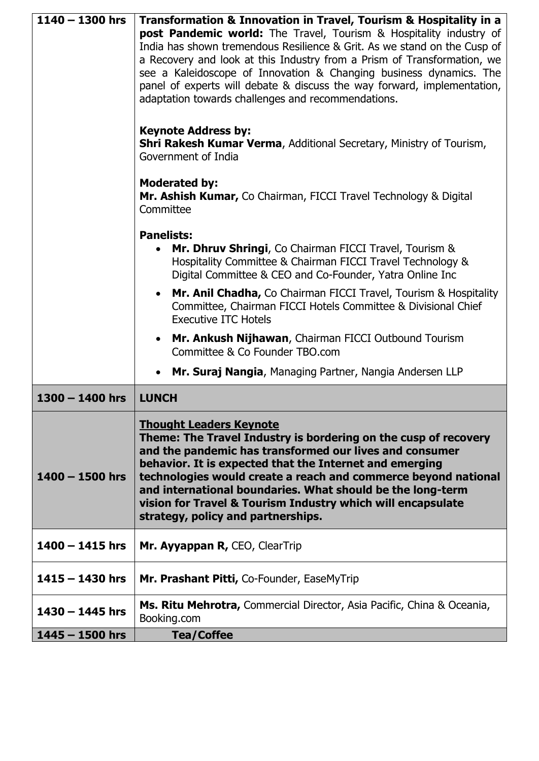| $1140 - 1300$ hrs | Transformation & Innovation in Travel, Tourism & Hospitality in a                                                                                                                                                                                                                                                                                                                                                                                              |
|-------------------|----------------------------------------------------------------------------------------------------------------------------------------------------------------------------------------------------------------------------------------------------------------------------------------------------------------------------------------------------------------------------------------------------------------------------------------------------------------|
|                   | post Pandemic world: The Travel, Tourism & Hospitality industry of<br>India has shown tremendous Resilience & Grit. As we stand on the Cusp of<br>a Recovery and look at this Industry from a Prism of Transformation, we<br>see a Kaleidoscope of Innovation & Changing business dynamics. The<br>panel of experts will debate & discuss the way forward, implementation,<br>adaptation towards challenges and recommendations.<br><b>Keynote Address by:</b> |
|                   | <b>Shri Rakesh Kumar Verma, Additional Secretary, Ministry of Tourism,</b><br>Government of India                                                                                                                                                                                                                                                                                                                                                              |
|                   | <b>Moderated by:</b><br>Mr. Ashish Kumar, Co Chairman, FICCI Travel Technology & Digital<br>Committee                                                                                                                                                                                                                                                                                                                                                          |
|                   | <b>Panelists:</b><br>Mr. Dhruv Shringi, Co Chairman FICCI Travel, Tourism &<br>Hospitality Committee & Chairman FICCI Travel Technology &<br>Digital Committee & CEO and Co-Founder, Yatra Online Inc                                                                                                                                                                                                                                                          |
|                   | Mr. Anil Chadha, Co Chairman FICCI Travel, Tourism & Hospitality<br>$\bullet$<br>Committee, Chairman FICCI Hotels Committee & Divisional Chief<br><b>Executive ITC Hotels</b>                                                                                                                                                                                                                                                                                  |
|                   | Mr. Ankush Nijhawan, Chairman FICCI Outbound Tourism<br>$\bullet$<br>Committee & Co Founder TBO.com                                                                                                                                                                                                                                                                                                                                                            |
|                   | Mr. Suraj Nangia, Managing Partner, Nangia Andersen LLP                                                                                                                                                                                                                                                                                                                                                                                                        |
| $1300 - 1400$ hrs | <b>LUNCH</b>                                                                                                                                                                                                                                                                                                                                                                                                                                                   |
| $1400 - 1500$ hrs | <b>Thought Leaders Keynote</b><br>Theme: The Travel Industry is bordering on the cusp of recovery<br>and the pandemic has transformed our lives and consumer<br>behavior. It is expected that the Internet and emerging<br>technologies would create a reach and commerce beyond national<br>and international boundaries. What should be the long-term<br>vision for Travel & Tourism Industry which will encapsulate<br>strategy, policy and partnerships.   |
| $1400 - 1415$ hrs | Mr. Ayyappan R, CEO, ClearTrip                                                                                                                                                                                                                                                                                                                                                                                                                                 |
| $1415 - 1430$ hrs | Mr. Prashant Pitti, Co-Founder, EaseMyTrip                                                                                                                                                                                                                                                                                                                                                                                                                     |
| $1430 - 1445$ hrs | Ms. Ritu Mehrotra, Commercial Director, Asia Pacific, China & Oceania,<br>Booking.com                                                                                                                                                                                                                                                                                                                                                                          |
| $1445 - 1500$ hrs | <b>Tea/Coffee</b>                                                                                                                                                                                                                                                                                                                                                                                                                                              |